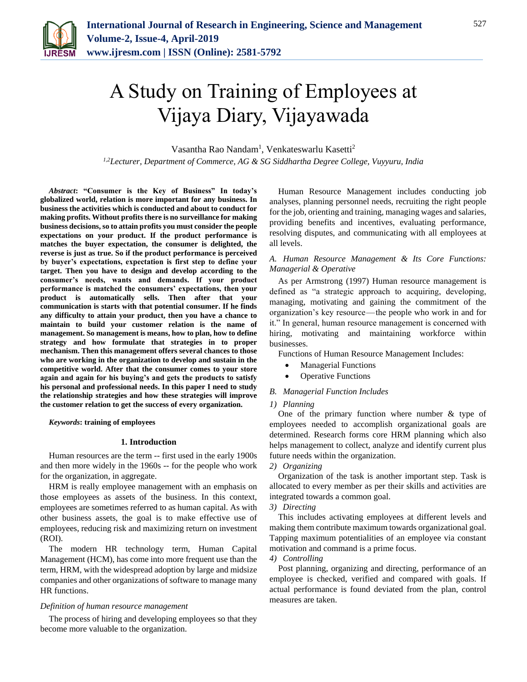

# A Study on Training of Employees at Vijaya Diary, Vijayawada

Vasantha Rao Nandam<sup>1</sup>, Venkateswarlu Kasetti<sup>2</sup>

*1,2Lecturer, Department of Commerce, AG & SG Siddhartha Degree College, Vuyyuru, India*

*Abstract***: "Consumer is the Key of Business" In today's globalized world, relation is more important for any business. In business the activities which is conducted and about to conduct for making profits. Without profits there is no surveillance for making business decisions, so to attain profits you must consider the people expectations on your product. If the product performance is matches the buyer expectation, the consumer is delighted, the reverse is just as true. So if the product performance is perceived by buyer's expectations, expectation is first step to define your target. Then you have to design and develop according to the consumer's needs, wants and demands. If your product performance is matched the consumers' expectations, then your product is automatically sells. Then after that your communication is starts with that potential consumer. If he finds any difficulty to attain your product, then you have a chance to maintain to build your customer relation is the name of management. So management is means, how to plan, how to define strategy and how formulate that strategies in to proper mechanism. Then this management offers several chances to those who are working in the organization to develop and sustain in the competitive world. After that the consumer comes to your store again and again for his buying's and gets the products to satisfy his personal and professional needs. In this paper I need to study the relationship strategies and how these strategies will improve the customer relation to get the success of every organization.**

*Keywords***: training of employees**

### **1. Introduction**

Human resources are the term -- first used in the early 1900s and then more widely in the 1960s -- for the people who work for the organization, in aggregate.

HRM is really employee management with an emphasis on those employees as assets of the business. In this context, employees are sometimes referred to as human capital. As with other business assets, the goal is to make effective use of employees, reducing risk and maximizing return on investment (ROI).

The modern HR technology term, Human Capital Management (HCM), has come into more frequent use than the term, HRM, with the widespread adoption by large and midsize companies and other organizations of software to manage many HR functions.

### *Definition of human resource management*

The process of hiring and developing employees so that they become more valuable to the organization.

Human Resource Management includes conducting job analyses, planning personnel needs, recruiting the right people for the job, orienting and training, managing wages and salaries, providing benefits and incentives, evaluating performance, resolving disputes, and communicating with all employees at all levels.

### *A. Human Resource Management & Its Core Functions: Managerial & Operative*

As per Armstrong (1997) Human resource management is defined as "a strategic approach to acquiring, developing, managing, motivating and gaining the commitment of the organization's key resource — the people who work in and for it." In general, human resource management is concerned with hiring, motivating and maintaining workforce within businesses.

Functions of Human Resource Management Includes:

- Managerial Functions
- Operative Functions

### *B. Managerial Function Includes*

### *1) Planning*

One of the primary function where number & type of employees needed to accomplish organizational goals are determined. Research forms core HRM planning which also helps management to collect, analyze and identify current plus future needs within the organization.

### *2) Organizing*

Organization of the task is another important step. Task is allocated to every member as per their skills and activities are integrated towards a common goal.

### *3) Directing*

This includes activating employees at different levels and making them contribute maximum towards organizational goal. Tapping maximum potentialities of an employee via constant motivation and command is a prime focus.

### *4) Controlling*

Post planning, organizing and directing, performance of an employee is checked, verified and compared with goals. If actual performance is found deviated from the plan, control measures are taken.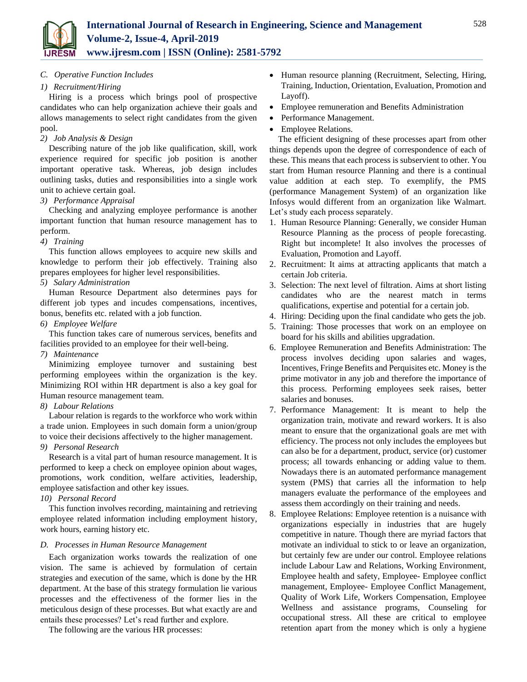

### *C. Operative Function Includes*

### *1) Recruitment/Hiring*

Hiring is a process which brings pool of prospective candidates who can help organization achieve their goals and allows managements to select right candidates from the given pool.

### *2) Job Analysis & Design*

Describing nature of the job like qualification, skill, work experience required for specific job position is another important operative task. Whereas, job design includes outlining tasks, duties and responsibilities into a single work unit to achieve certain goal.

### *3) Performance Appraisal*

Checking and analyzing employee performance is another important function that human resource management has to perform.

### *4) Training*

This function allows employees to acquire new skills and knowledge to perform their job effectively. Training also prepares employees for higher level responsibilities.

### *5) Salary Administration*

Human Resource Department also determines pays for different job types and incudes compensations, incentives, bonus, benefits etc. related with a job function.

### *6) Employee Welfare*

This function takes care of numerous services, benefits and facilities provided to an employee for their well-being.

### *7) Maintenance*

Minimizing employee turnover and sustaining best performing employees within the organization is the key. Minimizing ROI within HR department is also a key goal for Human resource management team.

### *8) Labour Relations*

Labour relation is regards to the workforce who work within a trade union. Employees in such domain form a union/group to voice their decisions affectively to the higher management.

### *9) Personal Research*

Research is a vital part of human resource management. It is performed to keep a check on employee opinion about wages, promotions, work condition, welfare activities, leadership, employee satisfaction and other key issues.

### *10) Personal Record*

This function involves recording, maintaining and retrieving employee related information including employment history, work hours, earning history etc.

### *D. Processes in Human Resource Management*

Each organization works towards the realization of one vision. The same is achieved by formulation of certain strategies and execution of the same, which is done by the HR department. At the base of this strategy formulation lie various processes and the effectiveness of the former lies in the meticulous design of these processes. But what exactly are and entails these processes? Let's read further and explore.

The following are the various HR processes:

- Human resource planning (Recruitment, Selecting, Hiring, Training, Induction, Orientation, Evaluation, Promotion and Layoff).
- Employee remuneration and Benefits Administration
- Performance Management.
- Employee Relations.

The efficient designing of these processes apart from other things depends upon the degree of correspondence of each of these. This means that each process is subservient to other. You start from Human resource Planning and there is a continual value addition at each step. To exemplify, the PMS (performance Management System) of an organization like Infosys would different from an organization like Walmart. Let's study each process separately.

- 1. Human Resource Planning: Generally, we consider Human Resource Planning as the process of people forecasting. Right but incomplete! It also involves the processes of Evaluation, Promotion and Layoff.
- 2. Recruitment: It aims at attracting applicants that match a certain Job criteria.
- 3. Selection: The next level of filtration. Aims at short listing candidates who are the nearest match in terms qualifications, expertise and potential for a certain job.
- 4. Hiring: Deciding upon the final candidate who gets the job.
- 5. Training: Those processes that work on an employee on board for his skills and abilities upgradation.
- 6. Employee Remuneration and Benefits Administration: The process involves deciding upon salaries and wages, Incentives, Fringe Benefits and Perquisites etc. Money is the prime motivator in any job and therefore the importance of this process. Performing employees seek raises, better salaries and bonuses.
- 7. Performance Management: It is meant to help the organization train, motivate and reward workers. It is also meant to ensure that the organizational goals are met with efficiency. The process not only includes the employees but can also be for a department, product, service (or) customer process; all towards enhancing or adding value to them. Nowadays there is an automated performance management system (PMS) that carries all the information to help managers evaluate the performance of the employees and assess them accordingly on their training and needs.
- 8. Employee Relations: Employee retention is a nuisance with organizations especially in industries that are hugely competitive in nature. Though there are myriad factors that motivate an individual to stick to or leave an organization, but certainly few are under our control. Employee relations include Labour Law and Relations, Working Environment, Employee health and safety, Employee- Employee conflict management, Employee- Employee Conflict Management, Quality of Work Life, Workers Compensation, Employee Wellness and assistance programs, Counseling for occupational stress. All these are critical to employee retention apart from the money which is only a hygiene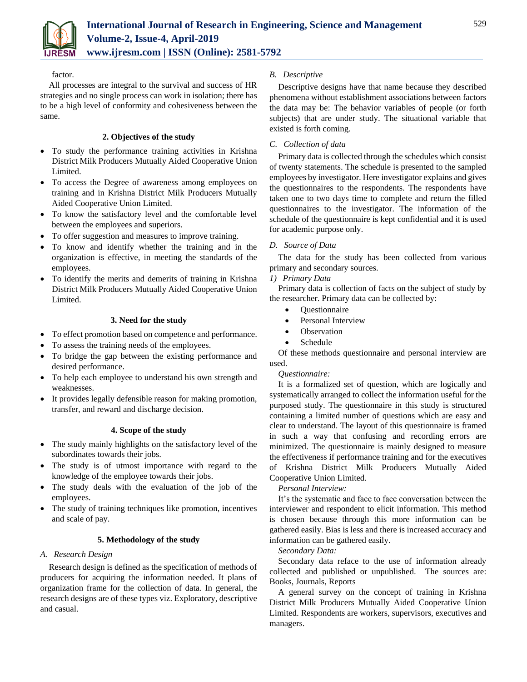

### factor.

All processes are integral to the survival and success of HR strategies and no single process can work in isolation; there has to be a high level of conformity and cohesiveness between the same.

# **2. Objectives of the study**

- To study the performance training activities in Krishna District Milk Producers Mutually Aided Cooperative Union Limited.
- To access the Degree of awareness among employees on training and in Krishna District Milk Producers Mutually Aided Cooperative Union Limited.
- To know the satisfactory level and the comfortable level between the employees and superiors.
- To offer suggestion and measures to improve training.
- To know and identify whether the training and in the organization is effective, in meeting the standards of the employees.
- To identify the merits and demerits of training in Krishna District Milk Producers Mutually Aided Cooperative Union Limited.

# **3. Need for the study**

- To effect promotion based on competence and performance.
- To assess the training needs of the employees.
- To bridge the gap between the existing performance and desired performance.
- To help each employee to understand his own strength and weaknesses.
- It provides legally defensible reason for making promotion, transfer, and reward and discharge decision.

# **4. Scope of the study**

- The study mainly highlights on the satisfactory level of the subordinates towards their jobs.
- The study is of utmost importance with regard to the knowledge of the employee towards their jobs.
- The study deals with the evaluation of the job of the employees.
- The study of training techniques like promotion, incentives and scale of pay.

# **5. Methodology of the study**

# *A. Research Design*

Research design is defined as the specification of methods of producers for acquiring the information needed. It plans of organization frame for the collection of data. In general, the research designs are of these types viz. Exploratory, descriptive and casual.

# *B. Descriptive*

Descriptive designs have that name because they described phenomena without establishment associations between factors the data may be: The behavior variables of people (or forth subjects) that are under study. The situational variable that existed is forth coming.

# *C. Collection of data*

Primary data is collected through the schedules which consist of twenty statements. The schedule is presented to the sampled employees by investigator. Here investigator explains and gives the questionnaires to the respondents. The respondents have taken one to two days time to complete and return the filled questionnaires to the investigator. The information of the schedule of the questionnaire is kept confidential and it is used for academic purpose only.

# *D. Source of Data*

The data for the study has been collected from various primary and secondary sources.

# *1) Primary Data*

Primary data is collection of facts on the subject of study by the researcher. Primary data can be collected by:

- **Ouestionnaire**
- Personal Interview
- **Observation**
- Schedule

Of these methods questionnaire and personal interview are used.

# *Questionnaire:*

It is a formalized set of question, which are logically and systematically arranged to collect the information useful for the purposed study. The questionnaire in this study is structured containing a limited number of questions which are easy and clear to understand. The layout of this questionnaire is framed in such a way that confusing and recording errors are minimized. The questionnaire is mainly designed to measure the effectiveness if performance training and for the executives of Krishna District Milk Producers Mutually Aided Cooperative Union Limited.

# *Personal Interview:*

It's the systematic and face to face conversation between the interviewer and respondent to elicit information. This method is chosen because through this more information can be gathered easily. Bias is less and there is increased accuracy and information can be gathered easily.

# *Secondary Data:*

Secondary data reface to the use of information already collected and published or unpublished. The sources are: Books, Journals, Reports

A general survey on the concept of training in Krishna District Milk Producers Mutually Aided Cooperative Union Limited. Respondents are workers, supervisors, executives and managers.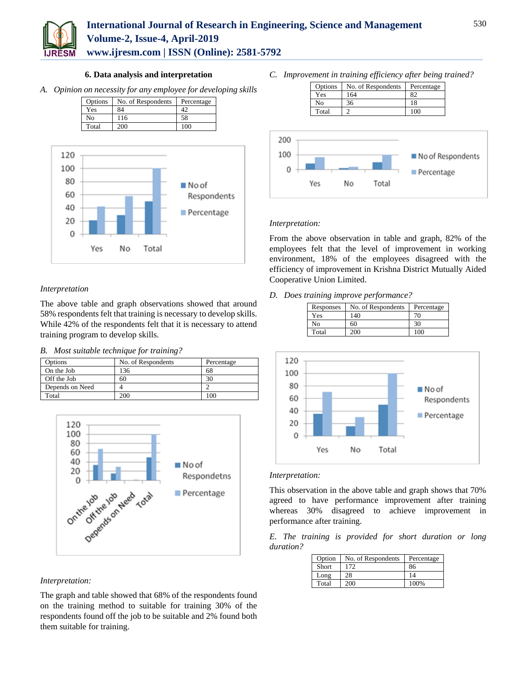

# **International Journal of Research in Engineering, Science and Management Volume-2, Issue-4, April-2019**

**www.ijresm.com | ISSN (Online): 2581-5792** 

### **6. Data analysis and interpretation**

*A. Opinion on necessity for any employee for developing skills*

| Options | No. of Respondents | Percentage |
|---------|--------------------|------------|
| Yes     | 84                 |            |
| No      | 116                | 58         |
| Total   | 200                | 100        |



# *Interpretation*

The above table and graph observations showed that around 58% respondents felt that training is necessary to develop skills. While 42% of the respondents felt that it is necessary to attend training program to develop skills.

### *B. Most suitable technique for training?*

| Options         | No. of Respondents | Percentage |
|-----------------|--------------------|------------|
| On the Job      |                    | 68         |
| Off the Job     | 60                 |            |
| Depends on Need |                    |            |
| Total           |                    | $\alpha$   |



# *Interpretation:*

The graph and table showed that 68% of the respondents found on the training method to suitable for training 30% of the respondents found off the job to be suitable and 2% found both them suitable for training.

*C. Improvement in training efficiency after being trained?*





# *Interpretation:*

From the above observation in table and graph, 82% of the employees felt that the level of improvement in working environment, 18% of the employees disagreed with the efficiency of improvement in Krishna District Mutually Aided Cooperative Union Limited.

*D. Does training improve performance?*

| Responses | No. of Respondents | Percentage |
|-----------|--------------------|------------|
| Yes       | 140                |            |
| Nο        | 60                 | 30         |
| Total     |                    | 100        |



### *Interpretation:*

This observation in the above table and graph shows that 70% agreed to have performance improvement after training whereas 30% disagreed to achieve improvement in performance after training.

*E. The training is provided for short duration or long duration?*

| Option       | No. of Respondents | Percentage |
|--------------|--------------------|------------|
| <b>Short</b> | 172                | 86         |
| Long         | 28                 | 14         |
| Total        | 200                | 100%       |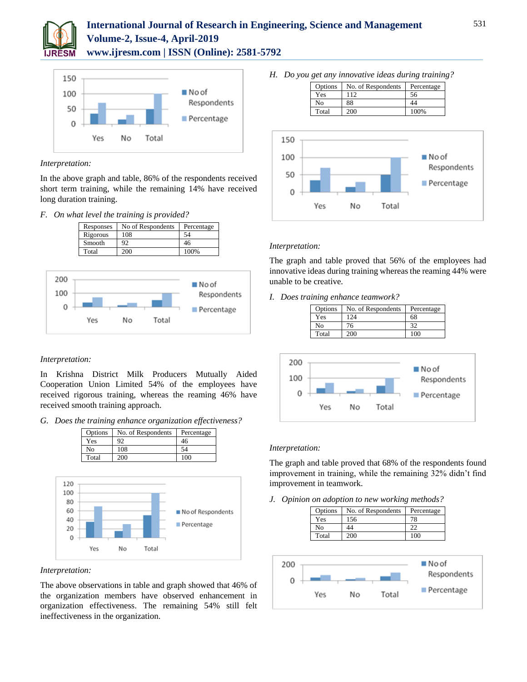

# **International Journal of Research in Engineering, Science and Management Volume-2, Issue-4, April-2019 www.ijresm.com | ISSN (Online): 2581-5792**



### *Interpretation:*

In the above graph and table, 86% of the respondents received short term training, while the remaining 14% have received long duration training.

### *F. On what level the training is provided?*





### *Interpretation:*

In Krishna District Milk Producers Mutually Aided Cooperation Union Limited 54% of the employees have received rigorous training, whereas the reaming 46% have received smooth training approach.

*G. Does the training enhance organization effectiveness?* 



### *Interpretation:*

 $\mathbf 0$ 

Yes

No

The above observations in table and graph showed that 46% of the organization members have observed enhancement in organization effectiveness. The remaining 54% still felt ineffectiveness in the organization.

Total

*H. Do you get any innovative ideas during training?*





### *Interpretation:*

The graph and table proved that 56% of the employees had innovative ideas during training whereas the reaming 44% were unable to be creative.

### *I. Does training enhance teamwork?*

| Options | No. of Respondents | Percentage |
|---------|--------------------|------------|
| Yes     | 124                | 68         |
| No      | 76                 |            |
| Total   | 200                | 100        |



### *Interpretation:*

The graph and table proved that 68% of the respondents found improvement in training, while the remaining 32% didn't find improvement in teamwork.

*J. Opinion on adoption to new working methods?*

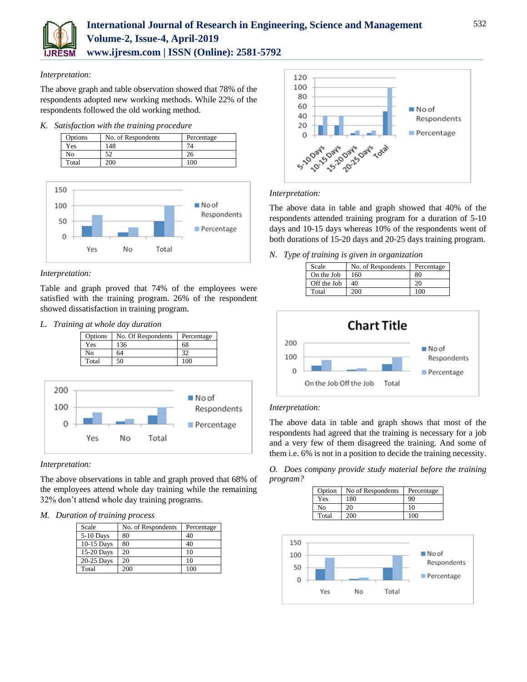

### *Interpretation:*

The above graph and table observation showed that 78% of the respondents adopted new working methods. While 22% of the respondents followed the old working method.

### *K. Satisfaction with the training procedure*





# *Interpretation:*

Table and graph proved that 74% of the employees were satisfied with the training program. 26% of the respondent showed dissatisfaction in training program.

*L. Training at whole day duration*



# *Interpretation:*

The above observations in table and graph proved that 68% of the employees attend whole day training while the remaining 32% don't attend whole day training programs.

# *M. Duration of training process*

| Scale        | No. of Respondents | Percentage |
|--------------|--------------------|------------|
| 5-10 Days    | 80                 | 40         |
| $10-15$ Days | 80                 | 40         |
| 15-20 Days   | 20                 | 10         |
| 20-25 Days   | 20                 | 10         |
| Total        | 200                | 100        |



# *Interpretation:*

The above data in table and graph showed that 40% of the respondents attended training program for a duration of 5-10 days and 10-15 days whereas 10% of the respondents went of both durations of 15-20 days and 20-25 days training program.

*N. Type of training is given in organization*

| Scale       | No. of Respondents | Percentage |
|-------------|--------------------|------------|
| On the Job  | 160                | 80         |
| Off the Job | 40                 | 20         |
| Total       | 200                | 100        |



# *Interpretation:*

The above data in table and graph shows that most of the respondents had agreed that the training is necessary for a job and a very few of them disagreed the training. And some of them i.e. 6% is not in a position to decide the training necessity.

*O. Does company provide study material before the training program?*

|     | Option         | No of Respondents | Percentage  |
|-----|----------------|-------------------|-------------|
|     | Yes            | 180               | 90          |
|     | N <sub>0</sub> | 20                | 10          |
|     | Total          | 200               | 100         |
|     |                |                   |             |
| 150 |                |                   |             |
| 100 |                |                   | $N$ o of    |
| 50  |                |                   | Respondents |
| 0   |                |                   | Percentage  |
|     | Yes            | Total<br>No       |             |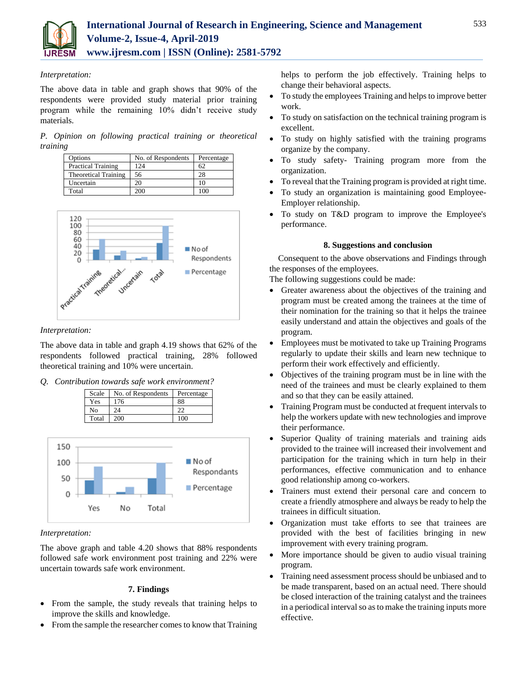

### *Interpretation:*

The above data in table and graph shows that 90% of the respondents were provided study material prior training program while the remaining 10% didn't receive study materials.

*P. Opinion on following practical training or theoretical training*

| Options                     | No. of Respondents | Percentage |
|-----------------------------|--------------------|------------|
| <b>Practical Training</b>   | 124                |            |
| <b>Theoretical Training</b> | 56                 | 28         |
| Uncertain                   |                    |            |
| Total                       |                    |            |



### *Interpretation:*

The above data in table and graph 4.19 shows that 62% of the respondents followed practical training, 28% followed theoretical training and 10% were uncertain.

*Q. Contribution towards safe work environment?*

| Scale | No. of Respondents | Percentage |
|-------|--------------------|------------|
| Yes   | 176                | 88         |
| Nο    | 24                 |            |
| Total | 200                |            |



# *Interpretation:*

The above graph and table 4.20 shows that 88% respondents followed safe work environment post training and 22% were uncertain towards safe work environment.

# **7. Findings**

- From the sample, the study reveals that training helps to improve the skills and knowledge.
- From the sample the researcher comes to know that Training

helps to perform the job effectively. Training helps to change their behavioral aspects.

- To study the employees Training and helps to improve better work.
- To study on satisfaction on the technical training program is excellent.
- To study on highly satisfied with the training programs organize by the company.
- To study safety- Training program more from the organization.
- To reveal that the Training program is provided at right time.
- To study an organization is maintaining good Employee-Employer relationship.
- To study on T&D program to improve the Employee's performance.

### **8. Suggestions and conclusion**

Consequent to the above observations and Findings through the responses of the employees.

The following suggestions could be made:

- Greater awareness about the objectives of the training and program must be created among the trainees at the time of their nomination for the training so that it helps the trainee easily understand and attain the objectives and goals of the program.
- Employees must be motivated to take up Training Programs regularly to update their skills and learn new technique to perform their work effectively and efficiently.
- Objectives of the training program must be in line with the need of the trainees and must be clearly explained to them and so that they can be easily attained.
- Training Program must be conducted at frequent intervals to help the workers update with new technologies and improve their performance.
- Superior Quality of training materials and training aids provided to the trainee will increased their involvement and participation for the training which in turn help in their performances, effective communication and to enhance good relationship among co-workers.
- Trainers must extend their personal care and concern to create a friendly atmosphere and always be ready to help the trainees in difficult situation.
- Organization must take efforts to see that trainees are provided with the best of facilities bringing in new improvement with every training program.
- More importance should be given to audio visual training program.
- Training need assessment process should be unbiased and to be made transparent, based on an actual need. There should be closed interaction of the training catalyst and the trainees in a periodical interval so as to make the training inputs more effective.